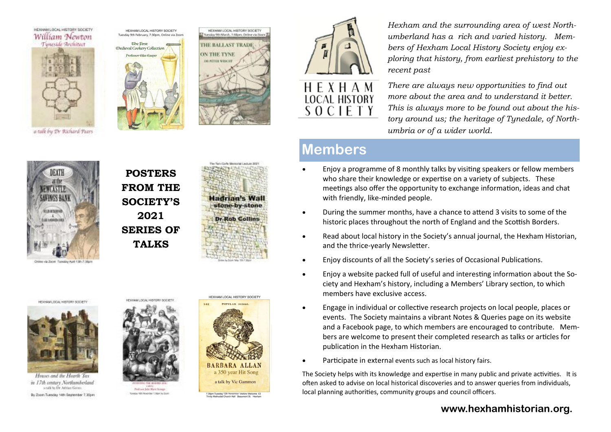

a talk by Dr Richard Pears







*Hexham and the surrounding area of west Northumberland has a rich and varied history. Members of Hexham Local History Society enjoy exploring that history, from earliest prehistory to the recent past*

SOCIETY

*There are always new opportunities to find out more about the area and to understand it better. This is always more to be found out about the history around us; the heritage of Tynedale, of Northumbria or of a wider world.*

# **Members**

- Enjoy a programme of 8 monthly talks by visiting speakers or fellow members who share their knowledge or expertise on a variety of subjects. These meetings also offer the opportunity to exchange information, ideas and chat with friendly, like-minded people.
- During the summer months, have a chance to attend 3 visits to some of the historic places throughout the north of England and the Scottish Borders.
- Read about local history in the Society's annual journal, the Hexham Historian, and the thrice-yearly Newsletter.
- Enjoy discounts of all the Society's series of Occasional Publications.
- Enjoy a website packed full of useful and interesting information about the Society and Hexham's history, including a Members' Library section, to which members have exclusive access.
- Engage in individual or collective research projects on local people, places or events. The Society maintains a vibrant Notes & Queries page on its website and a Facebook page, to which members are encouraged to contribute. Members are welcome to present their completed research as talks or articles for publication in the Hexham Historian.
- Participate in external events such as local history fairs.

The Society helps with its knowledge and expertise in many public and private activities. It is often asked to advise on local historical discoveries and to answer queries from individuals, local planning authorities, community groups and council officers.

# **www.hexhamhistorian.org.**



**POSTERS FROM THE SOCIETY'S 2021 SERIES OF TALKS**



HEXHAM LOCAL HISTORY SOCIETY



Houses and the Hearth Tax in 17th century Northumberland and helly Africa Group